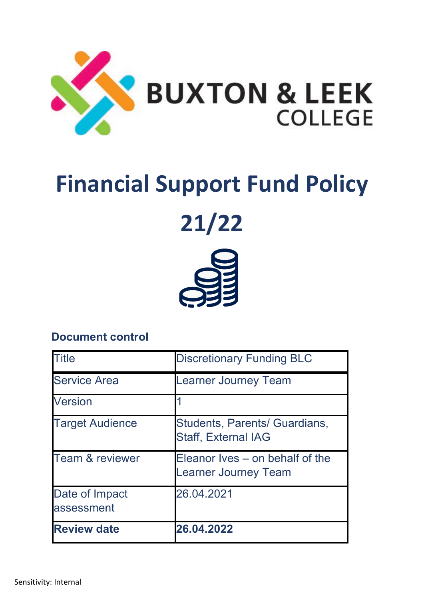

# **Financial Support Fund Policy**

**21/22**



# **Document control**

| <b>Title</b>                 | <b>Discretionary Funding BLC</b>                               |
|------------------------------|----------------------------------------------------------------|
| <b>Service Area</b>          | <b>Learner Journey Team</b>                                    |
| <b>Version</b>               |                                                                |
| <b>Target Audience</b>       | Students, Parents/ Guardians,<br><b>Staff, External IAG</b>    |
| <b>Team &amp; reviewer</b>   | Eleanor Ives – on behalf of the<br><b>Learner Journey Team</b> |
| Date of Impact<br>assessment | 26.04.2021                                                     |
| <b>Review date</b>           | 26.04.2022                                                     |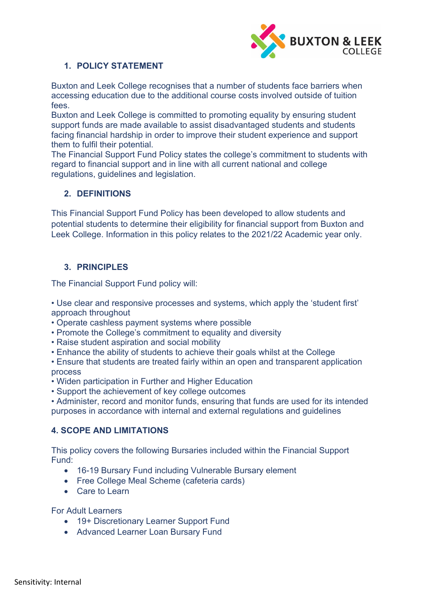

# **1. POLICY STATEMENT**

Buxton and Leek College recognises that a number of students face barriers when accessing education due to the additional course costs involved outside of tuition fees.

Buxton and Leek College is committed to promoting equality by ensuring student support funds are made available to assist disadvantaged students and students facing financial hardship in order to improve their student experience and support them to fulfil their potential.

The Financial Support Fund Policy states the college's commitment to students with regard to financial support and in line with all current national and college regulations, guidelines and legislation.

#### **2. DEFINITIONS**

This Financial Support Fund Policy has been developed to allow students and potential students to determine their eligibility for financial support from Buxton and Leek College. Information in this policy relates to the 2021/22 Academic year only.

# **3. PRINCIPLES**

The Financial Support Fund policy will:

• Use clear and responsive processes and systems, which apply the 'student first' approach throughout

- Operate cashless payment systems where possible
- Promote the College's commitment to equality and diversity
- Raise student aspiration and social mobility
- Enhance the ability of students to achieve their goals whilst at the College

• Ensure that students are treated fairly within an open and transparent application process

- Widen participation in Further and Higher Education
- Support the achievement of key college outcomes

• Administer, record and monitor funds, ensuring that funds are used for its intended purposes in accordance with internal and external regulations and guidelines

#### **4. SCOPE AND LIMITATIONS**

This policy covers the following Bursaries included within the Financial Support Fund:

- 16-19 Bursary Fund including Vulnerable Bursary element
- Free College Meal Scheme (cafeteria cards)
- Care to Learn

For Adult Learners

- 19+ Discretionary Learner Support Fund
- Advanced Learner Loan Bursary Fund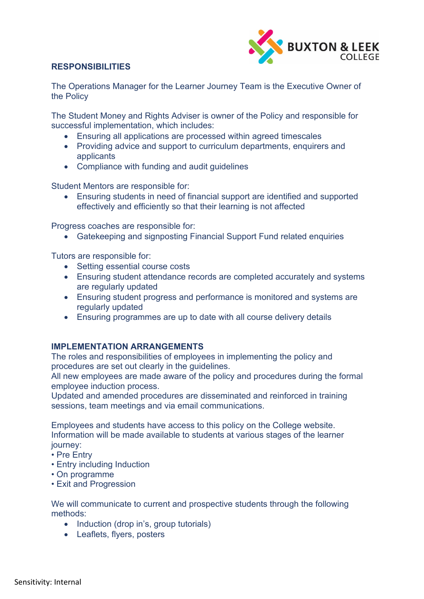

# **RESPONSIBILITIES**

The Operations Manager for the Learner Journey Team is the Executive Owner of the Policy

The Student Money and Rights Adviser is owner of the Policy and responsible for successful implementation, which includes:

- Ensuring all applications are processed within agreed timescales
- Providing advice and support to curriculum departments, enquirers and applicants
- Compliance with funding and audit guidelines

Student Mentors are responsible for:

• Ensuring students in need of financial support are identified and supported effectively and efficiently so that their learning is not affected

Progress coaches are responsible for:

• Gatekeeping and signposting Financial Support Fund related enquiries

Tutors are responsible for:

- Setting essential course costs
- Ensuring student attendance records are completed accurately and systems are regularly updated
- Ensuring student progress and performance is monitored and systems are regularly updated
- Ensuring programmes are up to date with all course delivery details

#### **IMPLEMENTATION ARRANGEMENTS**

The roles and responsibilities of employees in implementing the policy and procedures are set out clearly in the guidelines.

All new employees are made aware of the policy and procedures during the formal employee induction process.

Updated and amended procedures are disseminated and reinforced in training sessions, team meetings and via email communications.

Employees and students have access to this policy on the College website. Information will be made available to students at various stages of the learner journey:

- Pre Entry
- Entry including Induction
- On programme
- Exit and Progression

We will communicate to current and prospective students through the following methods:

- Induction (drop in's, group tutorials)
- Leaflets, flyers, posters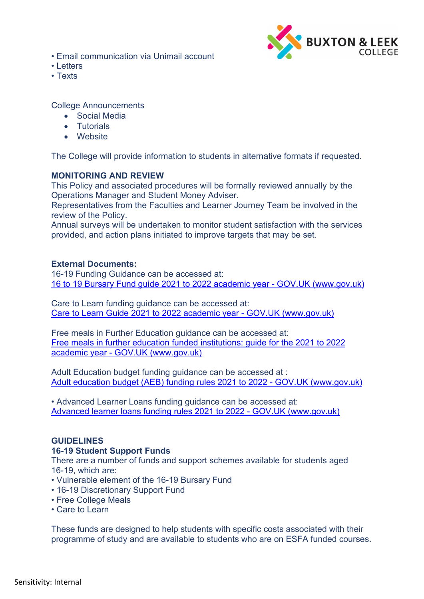• Email communication via Unimail account



- Letters
- Texts

College Announcements

- Social Media
- Tutorials
- Website

The College will provide information to students in alternative formats if requested.

#### **MONITORING AND REVIEW**

This Policy and associated procedures will be formally reviewed annually by the Operations Manager and Student Money Adviser.

Representatives from the Faculties and Learner Journey Team be involved in the review of the Policy.

Annual surveys will be undertaken to monitor student satisfaction with the services provided, and action plans initiated to improve targets that may be set.

#### **External Documents:**

16-19 Funding Guidance can be accessed at: 16 to 19 Bursary Fund guide 2021 to 2022 academic year - GOV.UK (www.gov.uk)

Care to Learn funding guidance can be accessed at: [Care to Learn Guide 2021 to 2022 academic year -](https://www.gov.uk/guidance/care-to-learn-guide-2021-to-2022-academic-year) GOV.UK (www.gov.uk)

Free meals in Further Education guidance can be accessed at: [Free meals in further education funded institutions: guide for the 2021 to 2022](https://www.gov.uk/guidance/free-meals-in-further-education-funded-institutions-guide-for-the-2021-to-2022-academic-year)  academic year - [GOV.UK \(www.gov.uk\)](https://www.gov.uk/guidance/free-meals-in-further-education-funded-institutions-guide-for-the-2021-to-2022-academic-year)

Adult Education budget funding guidance can be accessed at : [Adult education budget \(AEB\) funding rules 2021 to 2022 -](https://www.gov.uk/guidance/adult-education-budget-aeb-funding-rules-2021-to-2022) GOV.UK (www.gov.uk)

• Advanced Learner Loans funding guidance can be accessed at: [Advanced learner loans funding rules 2021 to 2022 -](https://www.gov.uk/government/publications/advanced-learner-loans-funding-rules-2021-to-2022) GOV.UK (www.gov.uk)

#### **GUIDELINES**

#### **16-19 Student Support Funds**

There are a number of funds and support schemes available for students aged 16-19, which are:

- Vulnerable element of the 16-19 Bursary Fund
- 16-19 Discretionary Support Fund
- Free College Meals
- Care to Learn

These funds are designed to help students with specific costs associated with their programme of study and are available to students who are on ESFA funded courses.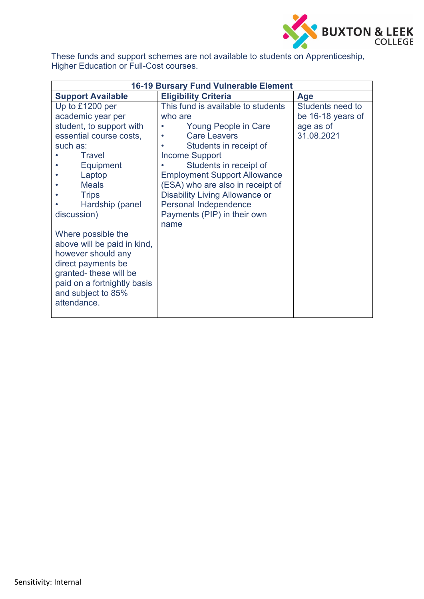

These funds and support schemes are not available to students on Apprenticeship, Higher Education or Full-Cost courses.

| <b>16-19 Bursary Fund Vulnerable Element</b> |                                       |                   |
|----------------------------------------------|---------------------------------------|-------------------|
| <b>Support Available</b>                     | <b>Eligibility Criteria</b>           | <b>Age</b>        |
| Up to £1200 per                              | This fund is available to students    | Students need to  |
| academic year per                            | who are                               | be 16-18 years of |
| student, to support with                     | Young People in Care                  | age as of         |
| essential course costs,                      | <b>Care Leavers</b>                   | 31.08.2021        |
| such as:                                     | Students in receipt of                |                   |
| <b>Travel</b>                                | <b>Income Support</b>                 |                   |
| Equipment                                    | Students in receipt of                |                   |
| Laptop                                       | <b>Employment Support Allowance</b>   |                   |
| <b>Meals</b>                                 | (ESA) who are also in receipt of      |                   |
| <b>Trips</b>                                 | <b>Disability Living Allowance or</b> |                   |
| Hardship (panel                              | Personal Independence                 |                   |
| discussion)                                  | Payments (PIP) in their own           |                   |
|                                              | name                                  |                   |
| Where possible the                           |                                       |                   |
| above will be paid in kind,                  |                                       |                   |
| however should any                           |                                       |                   |
| direct payments be                           |                                       |                   |
| granted-these will be                        |                                       |                   |
| paid on a fortnightly basis                  |                                       |                   |
| and subject to 85%                           |                                       |                   |
| attendance.                                  |                                       |                   |
|                                              |                                       |                   |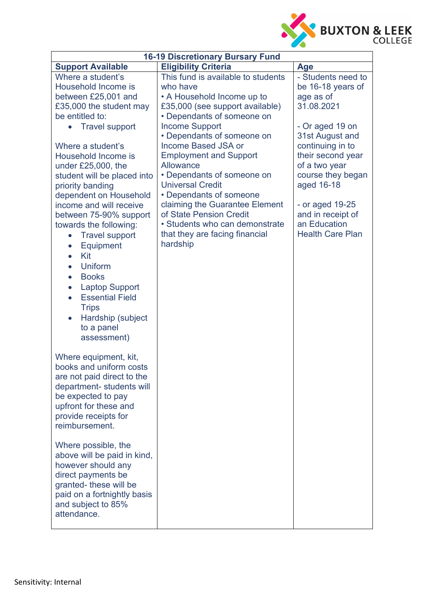

| <b>16-19 Discretionary Bursary Fund</b>                                                                                                                                                                                                                                                                                                                                                                                                                                                                                                                                                                                                                                          |                                                                                                                                                                                                                                                                                                                                                                                                                                                                                                                   |                                                                                                                                                                                                                                                                                          |  |
|----------------------------------------------------------------------------------------------------------------------------------------------------------------------------------------------------------------------------------------------------------------------------------------------------------------------------------------------------------------------------------------------------------------------------------------------------------------------------------------------------------------------------------------------------------------------------------------------------------------------------------------------------------------------------------|-------------------------------------------------------------------------------------------------------------------------------------------------------------------------------------------------------------------------------------------------------------------------------------------------------------------------------------------------------------------------------------------------------------------------------------------------------------------------------------------------------------------|------------------------------------------------------------------------------------------------------------------------------------------------------------------------------------------------------------------------------------------------------------------------------------------|--|
| <b>Support Available</b>                                                                                                                                                                                                                                                                                                                                                                                                                                                                                                                                                                                                                                                         | <b>Eligibility Criteria</b>                                                                                                                                                                                                                                                                                                                                                                                                                                                                                       | Age                                                                                                                                                                                                                                                                                      |  |
| Where a student's<br>Household Income is<br>between £25,001 and<br>£35,000 the student may<br>be entitled to:<br><b>Travel support</b><br>$\bullet$<br>Where a student's<br>Household Income is<br>under £25,000, the<br>student will be placed into<br>priority banding<br>dependent on Household<br>income and will receive<br>between 75-90% support<br>towards the following:<br><b>Travel support</b><br>$\bullet$<br>Equipment<br>$\bullet$<br>Kit<br>$\bullet$<br><b>Uniform</b><br><b>Books</b><br>$\bullet$<br><b>Laptop Support</b><br>$\bullet$<br><b>Essential Field</b><br>$\bullet$<br><b>Trips</b><br>Hardship (subject<br>$\bullet$<br>to a panel<br>assessment) | This fund is available to students<br>who have<br>• A Household Income up to<br>£35,000 (see support available)<br>• Dependants of someone on<br><b>Income Support</b><br>• Dependants of someone on<br><b>Income Based JSA or</b><br><b>Employment and Support</b><br>Allowance<br>• Dependants of someone on<br><b>Universal Credit</b><br>• Dependants of someone<br>claiming the Guarantee Element<br>of State Pension Credit<br>• Students who can demonstrate<br>that they are facing financial<br>hardship | - Students need to<br>be 16-18 years of<br>age as of<br>31.08.2021<br>- Or aged 19 on<br>31st August and<br>continuing in to<br>their second year<br>of a two year<br>course they began<br>aged 16-18<br>- or aged 19-25<br>and in receipt of<br>an Education<br><b>Health Care Plan</b> |  |
| Where equipment, kit,<br>books and uniform costs<br>are not paid direct to the<br>department- students will<br>be expected to pay<br>upfront for these and<br>provide receipts for<br>reimbursement.                                                                                                                                                                                                                                                                                                                                                                                                                                                                             |                                                                                                                                                                                                                                                                                                                                                                                                                                                                                                                   |                                                                                                                                                                                                                                                                                          |  |
| Where possible, the<br>above will be paid in kind,<br>however should any<br>direct payments be<br>granted-these will be<br>paid on a fortnightly basis<br>and subject to 85%<br>attendance.                                                                                                                                                                                                                                                                                                                                                                                                                                                                                      |                                                                                                                                                                                                                                                                                                                                                                                                                                                                                                                   |                                                                                                                                                                                                                                                                                          |  |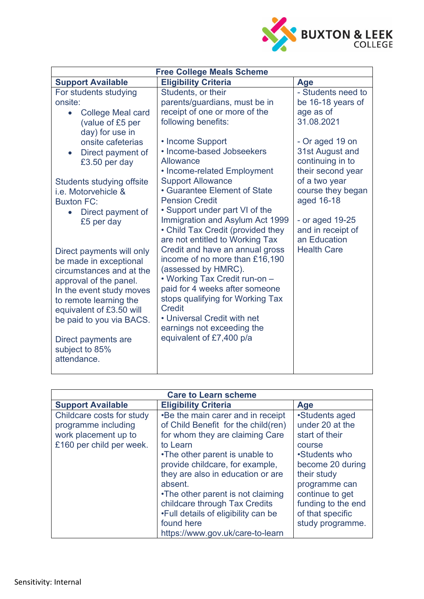

| <b>Free College Meals Scheme</b>                                                                                                                                                                                                                                                              |                                                                                                                                                                                                                                                                                                                                                                                                                      |                                                                             |
|-----------------------------------------------------------------------------------------------------------------------------------------------------------------------------------------------------------------------------------------------------------------------------------------------|----------------------------------------------------------------------------------------------------------------------------------------------------------------------------------------------------------------------------------------------------------------------------------------------------------------------------------------------------------------------------------------------------------------------|-----------------------------------------------------------------------------|
| <b>Support Available</b>                                                                                                                                                                                                                                                                      | <b>Eligibility Criteria</b>                                                                                                                                                                                                                                                                                                                                                                                          | Age                                                                         |
| For students studying<br>onsite:<br><b>College Meal card</b><br>$\bullet$<br>(value of £5 per<br>day) for use in                                                                                                                                                                              | Students, or their<br>parents/guardians, must be in<br>receipt of one or more of the<br>following benefits:                                                                                                                                                                                                                                                                                                          | - Students need to<br>be 16-18 years of<br>age as of<br>31.08.2021          |
| onsite cafeterias<br>Direct payment of<br>£3.50 per day                                                                                                                                                                                                                                       | • Income Support<br>• Income-based Jobseekers<br>Allowance<br>• Income-related Employment                                                                                                                                                                                                                                                                                                                            | - Or aged 19 on<br>31st August and<br>continuing in to<br>their second year |
| Students studying offsite<br>i.e. Motorvehicle &<br><b>Buxton FC:</b><br>Direct payment of                                                                                                                                                                                                    | <b>Support Allowance</b><br>• Guarantee Element of State<br><b>Pension Credit</b><br>• Support under part VI of the                                                                                                                                                                                                                                                                                                  | of a two year<br>course they began<br>aged 16-18                            |
| £5 per day<br>Direct payments will only<br>be made in exceptional<br>circumstances and at the<br>approval of the panel.<br>In the event study moves<br>to remote learning the<br>equivalent of £3.50 will<br>be paid to you via BACS.<br>Direct payments are<br>subject to 85%<br>attendance. | Immigration and Asylum Act 1999<br>• Child Tax Credit (provided they<br>are not entitled to Working Tax<br>Credit and have an annual gross<br>income of no more than £16,190<br>(assessed by HMRC).<br>• Working Tax Credit run-on -<br>paid for 4 weeks after someone<br>stops qualifying for Working Tax<br><b>Credit</b><br>• Universal Credit with net<br>earnings not exceeding the<br>equivalent of £7,400 p/a | - or aged 19-25<br>and in receipt of<br>an Education<br><b>Health Care</b>  |

| <b>Care to Learn scheme</b>                                                                          |                                                                                                                                                                                                                                                                                                                                                                                                             |                                                                                                                                                                                                                     |
|------------------------------------------------------------------------------------------------------|-------------------------------------------------------------------------------------------------------------------------------------------------------------------------------------------------------------------------------------------------------------------------------------------------------------------------------------------------------------------------------------------------------------|---------------------------------------------------------------------------------------------------------------------------------------------------------------------------------------------------------------------|
| <b>Support Available</b>                                                                             | <b>Eligibility Criteria</b>                                                                                                                                                                                                                                                                                                                                                                                 | <b>Age</b>                                                                                                                                                                                                          |
| Childcare costs for study<br>programme including<br>work placement up to<br>£160 per child per week. | •Be the main carer and in receipt<br>of Child Benefit for the child(ren)<br>for whom they are claiming Care<br>to Learn<br>•The other parent is unable to<br>provide childcare, for example,<br>they are also in education or are<br>absent.<br>•The other parent is not claiming<br>childcare through Tax Credits<br>•Full details of eligibility can be<br>found here<br>https://www.gov.uk/care-to-learn | •Students aged<br>under 20 at the<br>start of their<br>course<br>•Students who<br>become 20 during<br>their study<br>programme can<br>continue to get<br>funding to the end<br>of that specific<br>study programme. |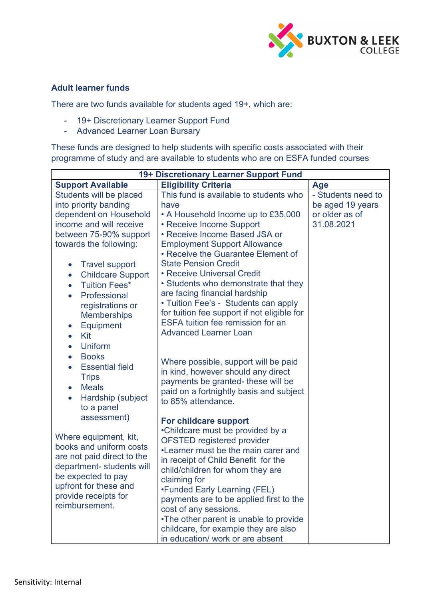

### **Adult learner funds**

There are two funds available for students aged 19+, which are:

- 19+ Discretionary Learner Support Fund
- Advanced Learner Loan Bursary

These funds are designed to help students with specific costs associated with their programme of study and are available to students who are on ESFA funded courses

| 19+ Discretionary Learner Support Fund                                                                                                                                                                                                                                                                                                                                                                                            |                                                                                                                                                                                                                                                                                                                                                                                                                                                                                                                                                                                                                                                 |                                                                        |
|-----------------------------------------------------------------------------------------------------------------------------------------------------------------------------------------------------------------------------------------------------------------------------------------------------------------------------------------------------------------------------------------------------------------------------------|-------------------------------------------------------------------------------------------------------------------------------------------------------------------------------------------------------------------------------------------------------------------------------------------------------------------------------------------------------------------------------------------------------------------------------------------------------------------------------------------------------------------------------------------------------------------------------------------------------------------------------------------------|------------------------------------------------------------------------|
| <b>Support Available</b>                                                                                                                                                                                                                                                                                                                                                                                                          | <b>Eligibility Criteria</b>                                                                                                                                                                                                                                                                                                                                                                                                                                                                                                                                                                                                                     | <b>Age</b>                                                             |
| Students will be placed<br>into priority banding<br>dependent on Household<br>income and will receive<br>between 75-90% support<br>towards the following:<br><b>Travel support</b><br>$\bullet$<br><b>Childcare Support</b><br>$\bullet$<br><b>Tuition Fees*</b><br>$\bullet$<br>Professional<br>$\bullet$<br>registrations or<br><b>Memberships</b><br>Equipment<br>$\bullet$<br>Kit<br>$\bullet$<br><b>Uniform</b><br>$\bullet$ | This fund is available to students who<br>have<br>• A Household Income up to £35,000<br>• Receive Income Support<br>• Receive Income Based JSA or<br><b>Employment Support Allowance</b><br>• Receive the Guarantee Element of<br><b>State Pension Credit</b><br>• Receive Universal Credit<br>• Students who demonstrate that they<br>are facing financial hardship<br>• Tuition Fee's - Students can apply<br>for tuition fee support if not eligible for<br><b>ESFA tuition fee remission for an</b><br><b>Advanced Learner Loan</b>                                                                                                         | - Students need to<br>be aged 19 years<br>or older as of<br>31.08.2021 |
| <b>Books</b><br>$\bullet$<br><b>Essential field</b><br>$\bullet$<br><b>Trips</b><br><b>Meals</b><br>$\bullet$<br>Hardship (subject<br>$\bullet$<br>to a panel<br>assessment)<br>Where equipment, kit,<br>books and uniform costs<br>are not paid direct to the<br>department- students will<br>be expected to pay<br>upfront for these and<br>provide receipts for<br>reimbursement.                                              | Where possible, support will be paid<br>in kind, however should any direct<br>payments be granted- these will be<br>paid on a fortnightly basis and subject<br>to 85% attendance.<br>For childcare support<br>•Childcare must be provided by a<br><b>OFSTED registered provider</b><br>•Learner must be the main carer and<br>in receipt of Child Benefit for the<br>child/children for whom they are<br>claiming for<br>•Funded Early Learning (FEL)<br>payments are to be applied first to the<br>cost of any sessions.<br>•The other parent is unable to provide<br>childcare, for example they are also<br>in education/ work or are absent |                                                                        |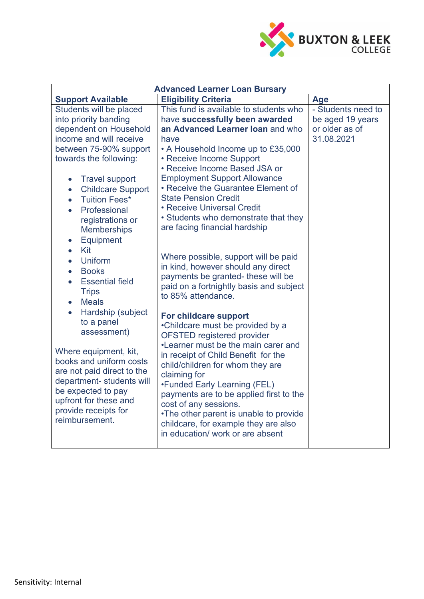

| <b>Advanced Learner Loan Bursary</b>                                                                                                                                                                                                                                                                                                                                                  |                                                                                                                                                                                                                                                                                                                                                                                                                                                            |                                                                        |
|---------------------------------------------------------------------------------------------------------------------------------------------------------------------------------------------------------------------------------------------------------------------------------------------------------------------------------------------------------------------------------------|------------------------------------------------------------------------------------------------------------------------------------------------------------------------------------------------------------------------------------------------------------------------------------------------------------------------------------------------------------------------------------------------------------------------------------------------------------|------------------------------------------------------------------------|
| <b>Support Available</b>                                                                                                                                                                                                                                                                                                                                                              | <b>Eligibility Criteria</b>                                                                                                                                                                                                                                                                                                                                                                                                                                | Age                                                                    |
| Students will be placed<br>into priority banding<br>dependent on Household<br>income and will receive<br>between 75-90% support<br>towards the following:<br><b>Travel support</b><br>$\bullet$<br><b>Childcare Support</b><br>$\bullet$<br><b>Tuition Fees*</b><br>$\bullet$<br>Professional<br>registrations or<br><b>Memberships</b><br>Equipment<br>$\bullet$<br>Kit<br>$\bullet$ | This fund is available to students who<br>have successfully been awarded<br>an Advanced Learner Ioan and who<br>have<br>• A Household Income up to £35,000<br>• Receive Income Support<br>• Receive Income Based JSA or<br><b>Employment Support Allowance</b><br>• Receive the Guarantee Element of<br><b>State Pension Credit</b><br>• Receive Universal Credit<br>• Students who demonstrate that they<br>are facing financial hardship                 | - Students need to<br>be aged 19 years<br>or older as of<br>31.08.2021 |
| <b>Uniform</b><br>$\bullet$<br><b>Books</b><br>$\bullet$<br><b>Essential field</b><br>$\bullet$<br><b>Trips</b><br><b>Meals</b>                                                                                                                                                                                                                                                       | Where possible, support will be paid<br>in kind, however should any direct<br>payments be granted- these will be<br>paid on a fortnightly basis and subject<br>to 85% attendance.                                                                                                                                                                                                                                                                          |                                                                        |
| Hardship (subject<br>to a panel<br>assessment)<br>Where equipment, kit,<br>books and uniform costs<br>are not paid direct to the<br>department- students will<br>be expected to pay<br>upfront for these and<br>provide receipts for<br>reimbursement.                                                                                                                                | For childcare support<br>•Childcare must be provided by a<br><b>OFSTED registered provider</b><br>•Learner must be the main carer and<br>in receipt of Child Benefit for the<br>child/children for whom they are<br>claiming for<br>•Funded Early Learning (FEL)<br>payments are to be applied first to the<br>cost of any sessions.<br>•The other parent is unable to provide<br>childcare, for example they are also<br>in education/ work or are absent |                                                                        |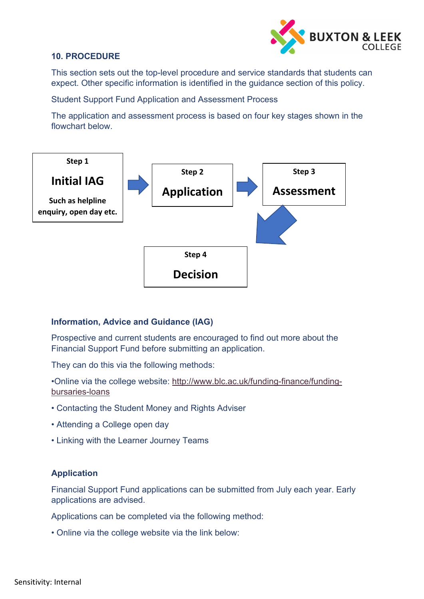

#### **10. PROCEDURE**

This section sets out the top-level procedure and service standards that students can expect. Other specific information is identified in the guidance section of this policy.

Student Support Fund Application and Assessment Process

The application and assessment process is based on four key stages shown in the flowchart below.



#### **Information, Advice and Guidance (IAG)**

Prospective and current students are encouraged to find out more about the Financial Support Fund before submitting an application.

They can do this via the following methods:

•Online via the college website: [http://www.blc.ac.uk/funding-finance/funding](http://www.blc.ac.uk/funding-finance/funding-bursaries-loans)[bursaries-loans](http://www.blc.ac.uk/funding-finance/funding-bursaries-loans)

- Contacting the Student Money and Rights Adviser
- Attending a College open day
- Linking with the Learner Journey Teams

#### **Application**

Financial Support Fund applications can be submitted from July each year. Early applications are advised.

Applications can be completed via the following method:

• Online via the college website via the link below: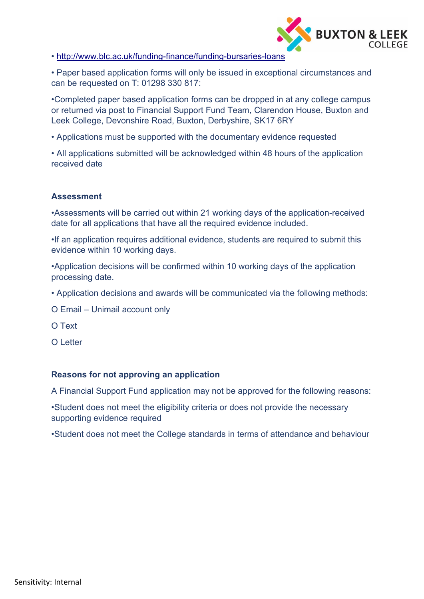

• <http://www.blc.ac.uk/funding-finance/funding-bursaries-loans>

• Paper based application forms will only be issued in exceptional circumstances and can be requested on T: 01298 330 817:

•Completed paper based application forms can be dropped in at any college campus or returned via post to Financial Support Fund Team, Clarendon House, Buxton and Leek College, Devonshire Road, Buxton, Derbyshire, SK17 6RY

• Applications must be supported with the documentary evidence requested

• All applications submitted will be acknowledged within 48 hours of the application received date

# **Assessment**

•Assessments will be carried out within 21 working days of the application-received date for all applications that have all the required evidence included.

•If an application requires additional evidence, students are required to submit this evidence within 10 working days.

•Application decisions will be confirmed within 10 working days of the application processing date.

• Application decisions and awards will be communicated via the following methods:

O Email – Unimail account only

O Text

O Letter

#### **Reasons for not approving an application**

A Financial Support Fund application may not be approved for the following reasons:

•Student does not meet the eligibility criteria or does not provide the necessary supporting evidence required

•Student does not meet the College standards in terms of attendance and behaviour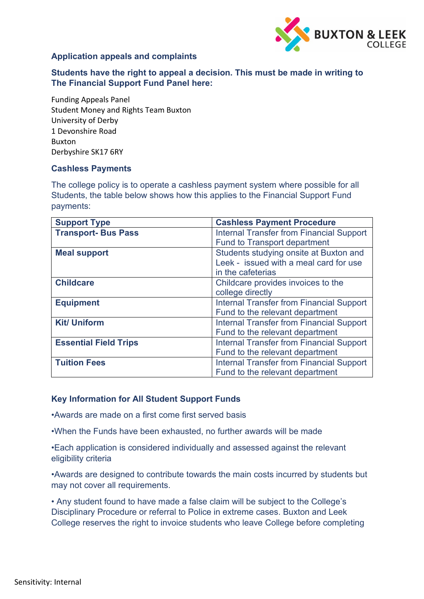

# **Application appeals and complaints**

**Students have the right to appeal a decision. This must be made in writing to The Financial Support Fund Panel here:**

Funding Appeals Panel Student Money and Rights Team Buxton University of Derby 1 Devonshire Road Buxton Derbyshire SK17 6RY

#### **Cashless Payments**

The college policy is to operate a cashless payment system where possible for all Students, the table below shows how this applies to the Financial Support Fund payments:

| <b>Support Type</b>          | <b>Cashless Payment Procedure</b>               |
|------------------------------|-------------------------------------------------|
| <b>Transport-Bus Pass</b>    | <b>Internal Transfer from Financial Support</b> |
|                              | <b>Fund to Transport department</b>             |
| <b>Meal support</b>          | Students studying onsite at Buxton and          |
|                              | Leek - issued with a meal card for use          |
|                              | in the cafeterias                               |
| <b>Childcare</b>             | Childcare provides invoices to the              |
|                              | college directly                                |
| <b>Equipment</b>             | <b>Internal Transfer from Financial Support</b> |
|                              | Fund to the relevant department                 |
| <b>Kit/ Uniform</b>          | <b>Internal Transfer from Financial Support</b> |
|                              | Fund to the relevant department                 |
| <b>Essential Field Trips</b> | <b>Internal Transfer from Financial Support</b> |
|                              | Fund to the relevant department                 |
| <b>Tuition Fees</b>          | <b>Internal Transfer from Financial Support</b> |
|                              | Fund to the relevant department                 |

#### **Key Information for All Student Support Funds**

•Awards are made on a first come first served basis

•When the Funds have been exhausted, no further awards will be made

•Each application is considered individually and assessed against the relevant eligibility criteria

•Awards are designed to contribute towards the main costs incurred by students but may not cover all requirements.

• Any student found to have made a false claim will be subject to the College's Disciplinary Procedure or referral to Police in extreme cases. Buxton and Leek College reserves the right to invoice students who leave College before completing